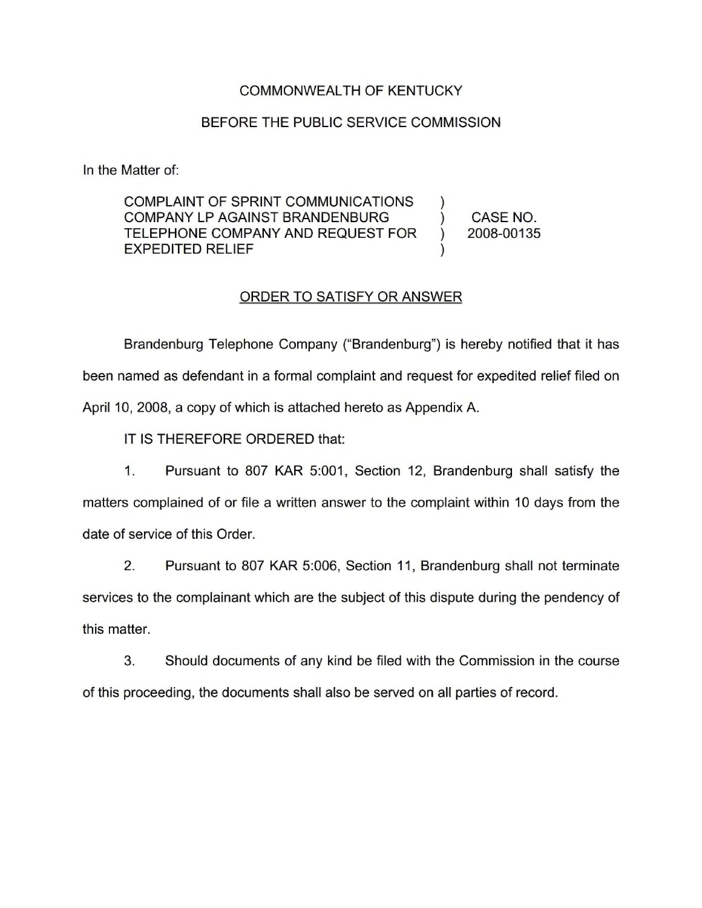#### COMMONWEALTH OF KENTUCKY

#### BEFORE THE PUBLIC SERVICE COMMISSION

In the Matter of:

COMPLAINT OF SPRINT COMMUNICATIONS ) COMPANY LP AGAINST BRANDENBURG (ASSE NO.<br>TELEPHONE COMPANY AND REQUEST FOR (2008-00135) TELEPHONE COMPANY AND REQUEST FOR EXPEDITED RELIEF )

### ORDER TO SATISFY OR ANSWER

Brandenburg Telephone Company ("Brandenburg") is hereby notified that it has been named as defendant in a formal complaint and request for expedited relief filed on April 10, 2008, a copy of which is attached hereto as Appendix A.

IT IS THEREFORE ORDERED that:

1. Pursuant to 807 KAR 5:001, Section 12, Brandenburg shall satisfy the matters complained of or file a written answer to the complaint within 10 days from the date of service of this Order.

2. Pursuant to 807 KAR 5:006, Section 11, Brandenburg shall not terminate services to the complainant which are the subject of this dispute during the pendency of this matter.

3. Should documents of any kind be filed with the Commission in the course of this proceeding, the documents shall also be served on all parties of record.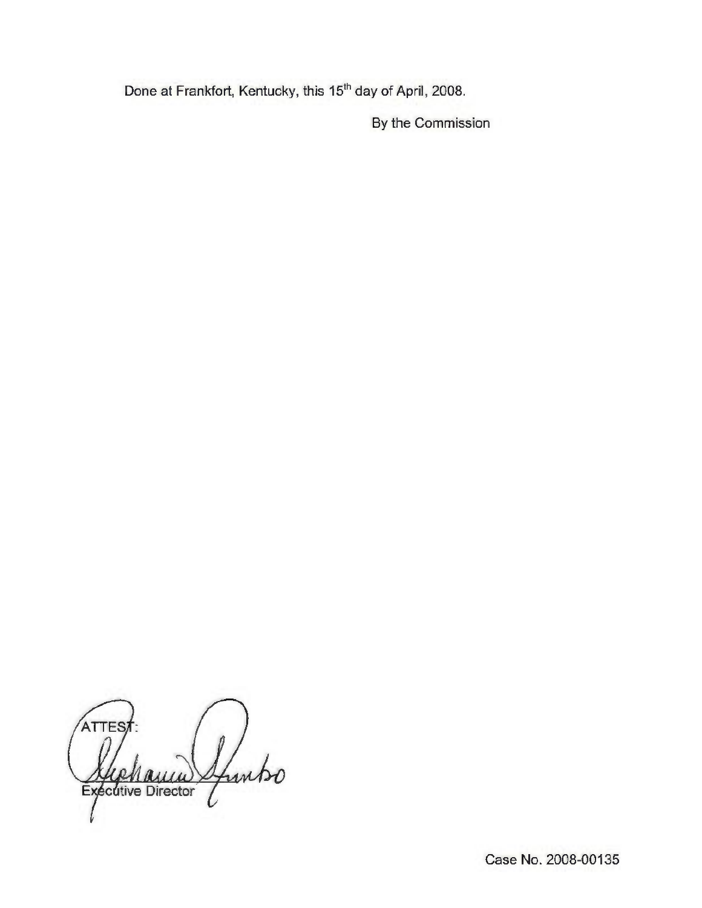Done at Frankfort, Kentucky, this 15<sup>th</sup> day of April, 2008.

By the Commission

**ATTES** Sfuntso  $\alpha$ cútive Director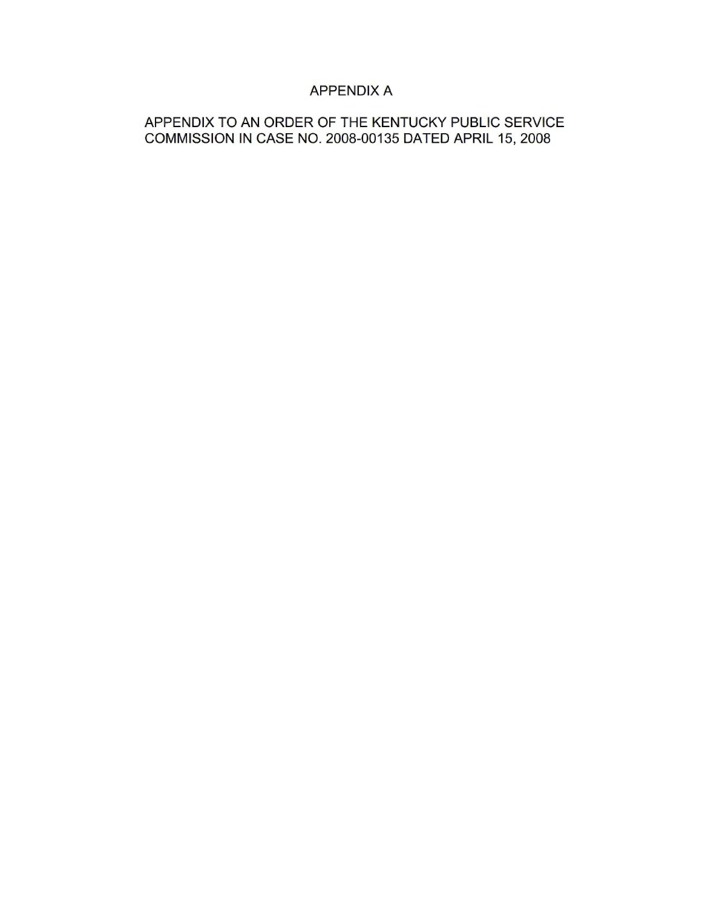# APPENDIX A

## APPENDIX TO AN ORDER OF THE KENTUCKY PUBLIC SERVICE COMMISSION IN CASE NO. 2008-00135 DATED APRIL 15, 2008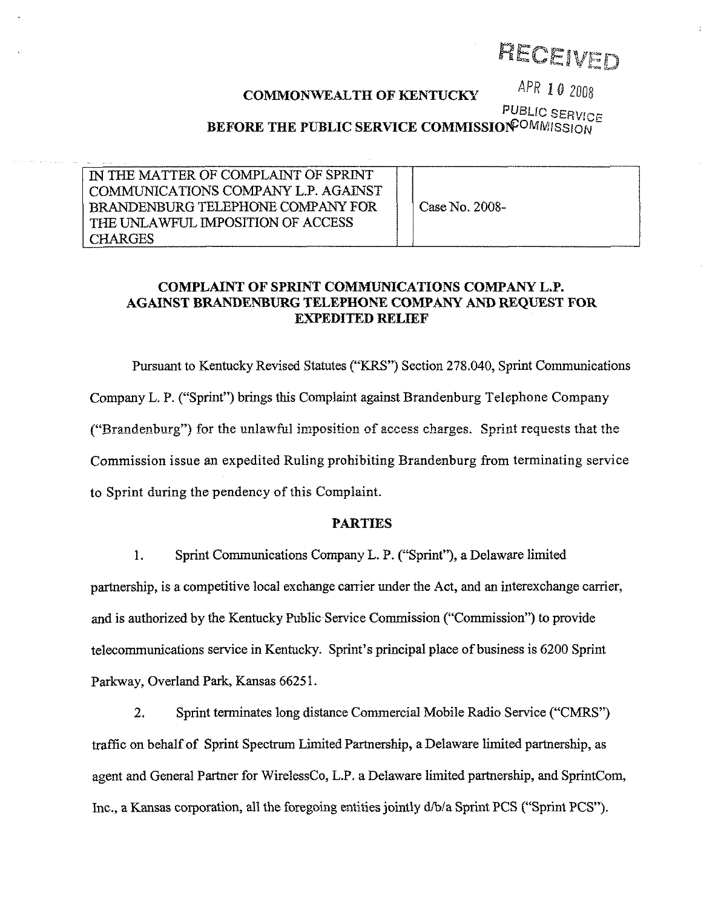PECEIVED

# COMMONWEALTH OF KENTUCKY APR 10 2008

PUBLIC SERVICE BEFORE THE PUBLIC SERVICE COMMISSIONED MAISSION

| IN THE MATTER OF COMPLAINT OF SPRINT<br>COMMUNICATIONS COMPANY L.P. AGAINST<br>BRANDENBURG TELEPHONE COMPANY FOR<br>THE UNLAWFUL IMPOSITION OF ACCESS<br><b>CHARGES</b> | Case No. 2008- |
|-------------------------------------------------------------------------------------------------------------------------------------------------------------------------|----------------|
|-------------------------------------------------------------------------------------------------------------------------------------------------------------------------|----------------|

#### COMPLAINT OF SPRINT COMMUNICATIONS COMPANY L.P. AGAINST BRANDENBURG TELEPHONE COMPANY AND REQUEST FOR EXPEDITED RELIEF

Pursuant to Kentucky Revised Statutes ("KRS") Section 278.040, Sprint Communications Company L. P. ("Sprint" ) brings this Complaint against Brandenburg Telephone Company ("Brandenburg") for the unlawful imposition of access charges. Sprint requests that the Commission issue an expedited Ruling prohibiting Brandenburg from terminating service to Sprint during the pendency of this Complaint.

#### PARTIES

1. Sprint Communications Company L. P. ("Sprint"), a Delaware limited partnership, is a competitive local exchange carrier under the Act, and an interexchange carrier, and is authorized by the Kentucky Public Service Commission ("Commission") to provid telecommunications service in Kentucky. Sprint's principal place of business is 6200 Sprint Parkway, Overland Park, Kansas 66251.

2. Sprint terminates long distance Commercial Mobile Radio Service ("CMRS") traffic on behalf of Sprint Spectrum Limited Partnership, a Delaware limited partnership, as agent and General Partner for WirelessCo, L.P. a Delaware limited partnership, and SprintCom, Inc., a Kansas corporation, all the foregoing entities jointly  $d/b/a$  Sprint PCS ("Sprint PCS").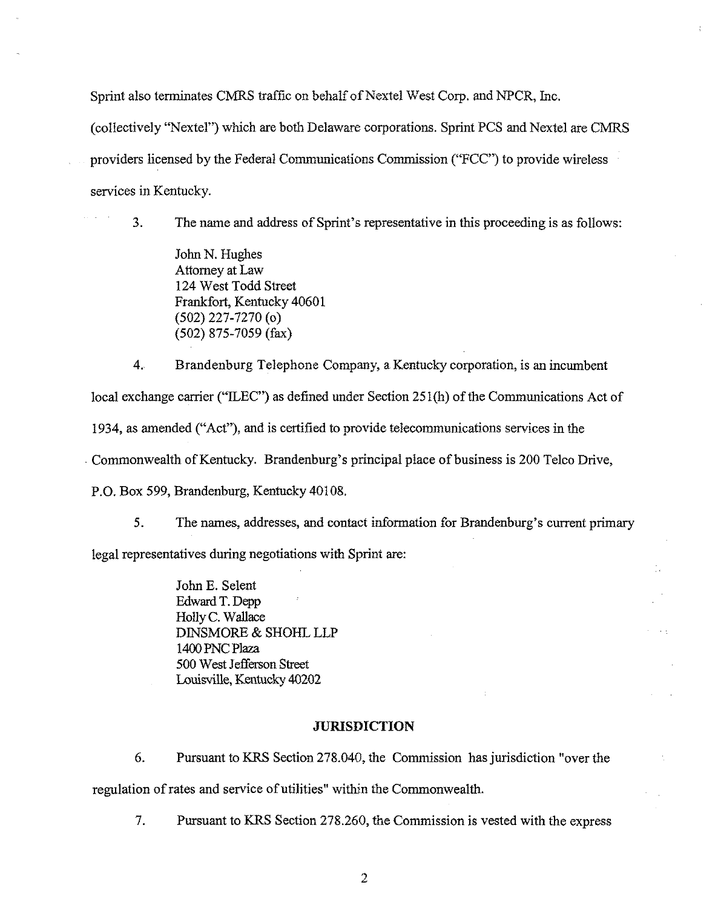Sprint also terminates CMRS traffic on behalf of Nextel West Corp. and NPCR, Inc. (collectively "Nextel") which are both Delaware corporations. Sprint PCS snd Nextel are CMRS providers licensed by the Federal Communications Commission ("FCC") to provide wireless services in Kentucky.

3. The name and address of Sprint's representative in this proceeding is as follows:

John N. Hughes Attorney at Law 124 West Todd Street Frankfort, Kentucky 40601 (502) 227-7270 (o) (502) 875-7059 (fax)

4. Brandenburg Telephone Company, a Kentucky corporation, is an incumbent

local exchange carrier ("ILEC") as defined under Section 251(h) of the Communications Act of

1934, as amended ("Act"), and is certified to provide telecommunications services in the

Commonwealth of Kentucky. Brandenburg's principal place of business is 200 Telco Drive,

P.O. Box 599, Brandenburg, Kentucky 40108,

5. The names, addresses, and contact information for Brandenburg's current primary legal representatives during negotiations with Sprint are:

> John E. Selent Edward T.Depp Holly C. Wallace DINSMORE & SHOHL LLP 1400PNC Plaza 500 West Jetferson Street Louisville, Kentucky 40202

#### **JURISDICTION**

6. Pursuant to KRS Section 278.040, the Commission has jurisdiction "over the regulation ofrates and service of utilities" within the Commonwealth.

7. Pursuant to KRS Section 278.260, the Commission is vested with the express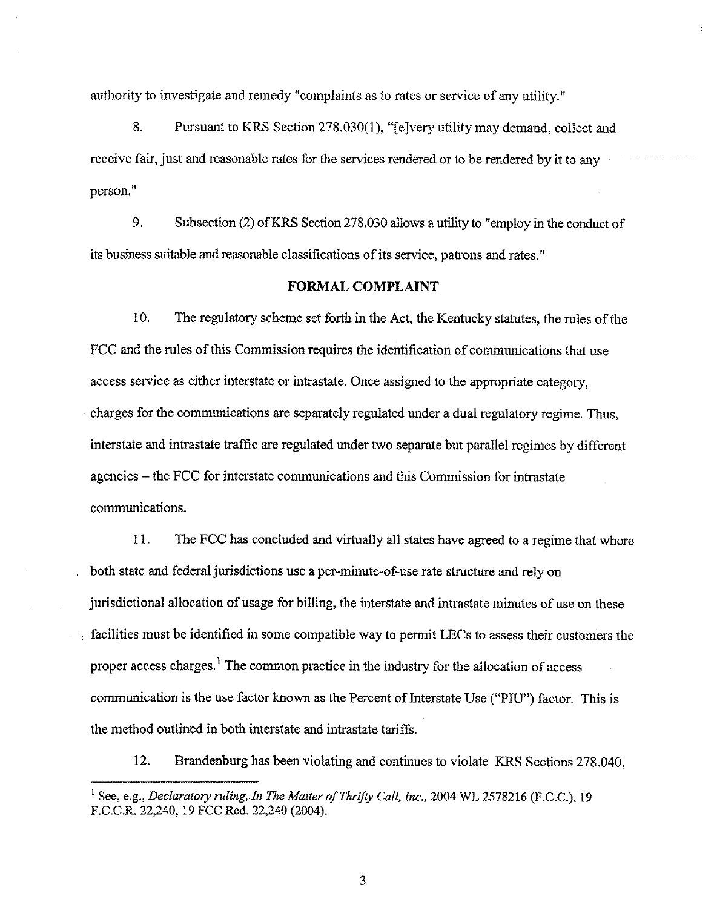authority to investigate and remedy "complaints as to rates or service of any utility,"

8. Pursuant to KRS Section 278.030(1),"[ejvery utility may demand, collect and receive fair, just and reasonable rates for the services rendered or to be rendered by it to any person."

9. Subsection (2) of KRS Section 278.030 allows a utility to "employ in the conduct of its business suitable and reasonable classifications of its service, patrons and rates."

#### FORMAL COMPLAINT

10. The regulatory scheme set forth in the Act, the Kentucky statutes, the rules of the FCC and the rules of this Commission requires the identification of communications that use access service as either interstate or intrastate. Once assigned to the appropriate category, charges for the communications are separately regulated under a dual regulatory regime. Thus, interstate and intrastate traffic are regulated under two separate but parallel regimes by different agencies —the FCC for interstate communications and this Commission for intrastate communications.

11. The FCC has concluded and virtually all states have agreed to a regime that where both state and federal jurisdictions use a per-minute-of-use rate structure and rely on jurisdictional allocation of usage for billing, the interstate and intrastate minutes of use on these  $\sim$  facilities must be identified in some compatible way to permit LECs to assess their customers the proper access charges.<sup>1</sup> The common practice in the industry for the allocation of access communication is the use factor known as the Percent of Interstate Use ("PIU") factor. This is the method outlined in both interstate and intrastate tariffs.

12. Brandenburg has been violating and continues to violate KRS Sections 278.040,

3

<sup>&</sup>lt;sup>1</sup> See, e.g., Declaratory ruling, In The Matter of Thrifty Call, Inc., 2004 WL 2578216 (F.C.C.), 19 F.C.C.R.22,240, 19 FCC Rcd. 22,240 (2004).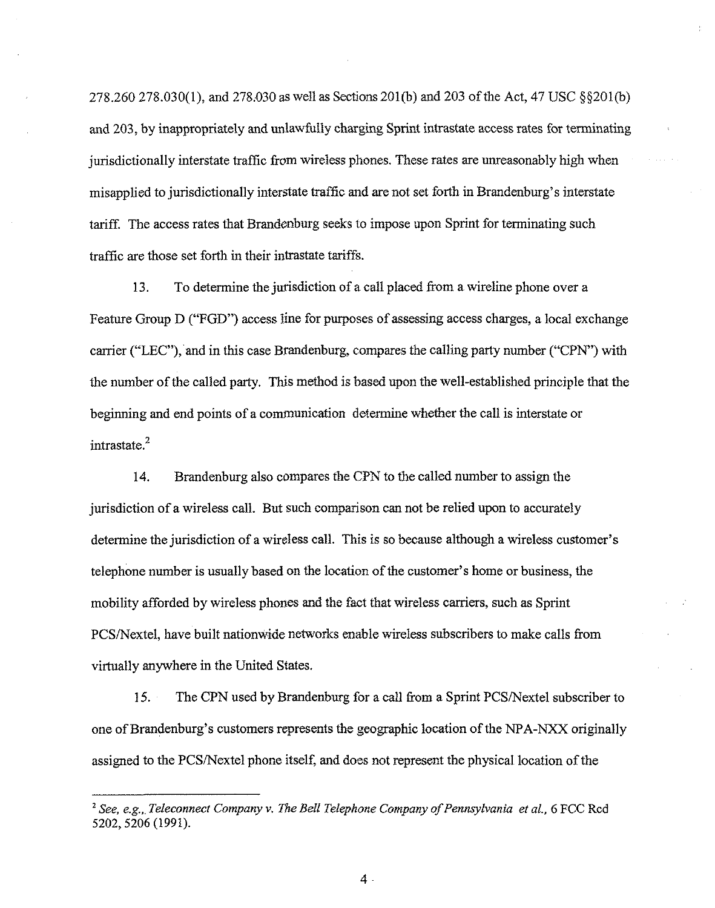$278.260\,278.030(1)$ , and  $278.030$  as well as Sections  $201(b)$  and  $203$  of the Act, 47 USC  $\S$  $\S 201(b)$ and 203, by inappropriately and unlawfully charging Sprint intrastate access rates for terminating jurisdictionally interstate traffic from wireless phones. These rates are unreasonably high when misapplied to jurisdictionally interstate traffic and are not set forth in Brandenburg's interstate tariff. The access rates that Brandenburg seeks to impose upon Sprint for terminating such traffic are those set forth in their intrastate tariffs.

13. To determine the jurisdiction of a call placed from a wireline phone over a Feature Group D ("FGD") access line for purposes of assessing access charges, a local exchange carrier ("LEC"), and in this case Brandenburg, compares the calling party number ("CPN") with the number ofthe called party. This method is based upon the well-established principle that the beginning and end points of a communication determine whether the call is interstate or intrastate.

14. Brandenburg also compares the CPN to the called number to assign the jurisdiction of a wireless call. But such comparison can not be relied upon to accurately determine the jurisdiction of a wireless call. This is so because although a wireless customer's telephone number is usually based on the location of the customer's home or business, the mobility afforded by wireless phones and the fact that wireless carriers, such as Sprint PCS/Nextel, have built nationwide networks enable wireless subscribers to make calls from virtually anywhere in the United States.

15. The CPN used by Brandenburg for a call from a Sprint PCS/Nextel subscriber to one of Brandenburg's customers represents the geographic location of the NPA-NXX originally assigned to the PCS/Nextel phone itself, and does not represent the physical location of the

 $4$ .

 $^{2}$  See, e.g., Teleconnect Company v, The Bell Telephone Company of Pennsylvania et al., 6 FCC Rcd 5202, 5206 (1991).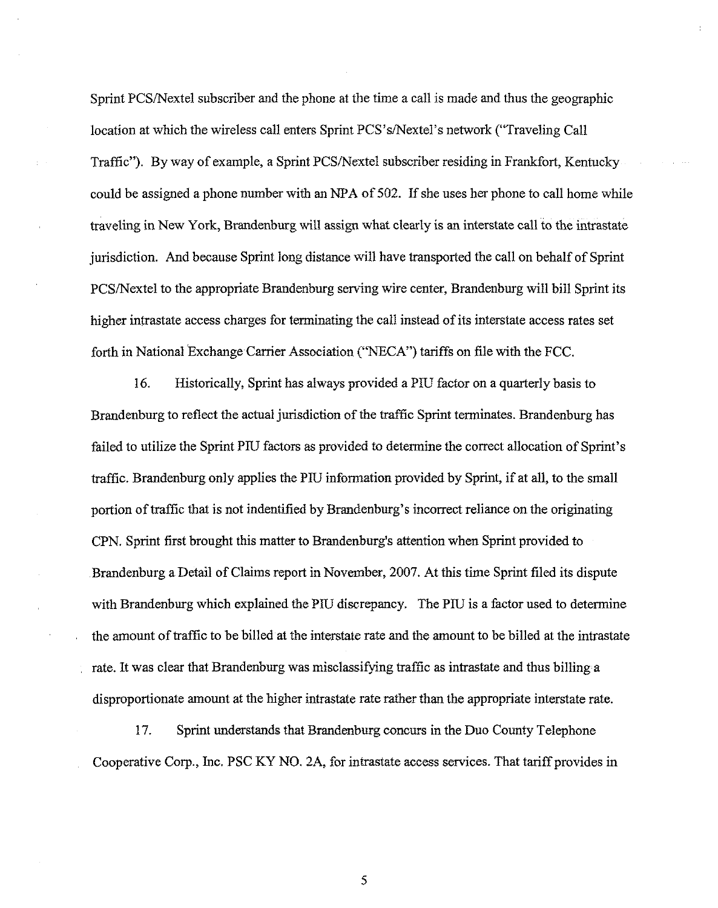Sprint PCS/Nextel subscriber and the phone at the time a call is made and thus the geographic location at which the wireless call enters Sprint PCS's/Nextel's network ("Traveling Call Traffic"). By way of example, a Sprint PCS/Nextel subscriber residing in Frankfort, Kentucky could be assigned a phone number with an NPA of 502. If she uses her phone to call home while traveling in New York, Brandenburg, will assign what clearly is an interstate call to the intrastate jurisdiction. And because Sprint long distance will have transported the call on behalf of Sprint PCS/Nextel to the appropriate Brandenburg serving wire center, Brandenburg will bill Sprint its higher intrastate access charges for terminating the call instead of its interstate access rates set forth in National Exchange Carrier Association ("NECA") tariffs on file with the FCC.

16. Historically, Sprint has always provided a PIU factor on a quarterly basis to Brandenburg to reflect the actual jurisdiction of the traffic Sprint terminates. Brandenburg has failed to utilize the Sprint PIU factors as provided to determine the correct allocation of Sprint's traffic. Brandenburg only applies the PIU information provided by Sprint, if at all, to the small portion of traffic that is not indentified by Brandenburg's incorrect reliance on the originating CPN. Sprint first brought this matter to Brandenburg's attention when Sprint provided to Brandenburg a Detail of Claims report in November, 2007. At this time Sprint filed its dispute with Brandenburg which explained the PIU discrepancy. The PIU is a factor used to determine the amount of traffic to be billed at the interstate rate and the amount to be billed at the intrastate rate. It was clear that Brandenburg was misclassifying traffic as intrastate and thus billing a disproportionate amount at the higher intrastate rate rather than the appropriate interstate rate.

17, Sprint understands that Brandenburg concurs in the Duo County Telephone Cooperative Corp., Inc. PSC KY NO. 2A, for intrastate access services. That tariff provides in

5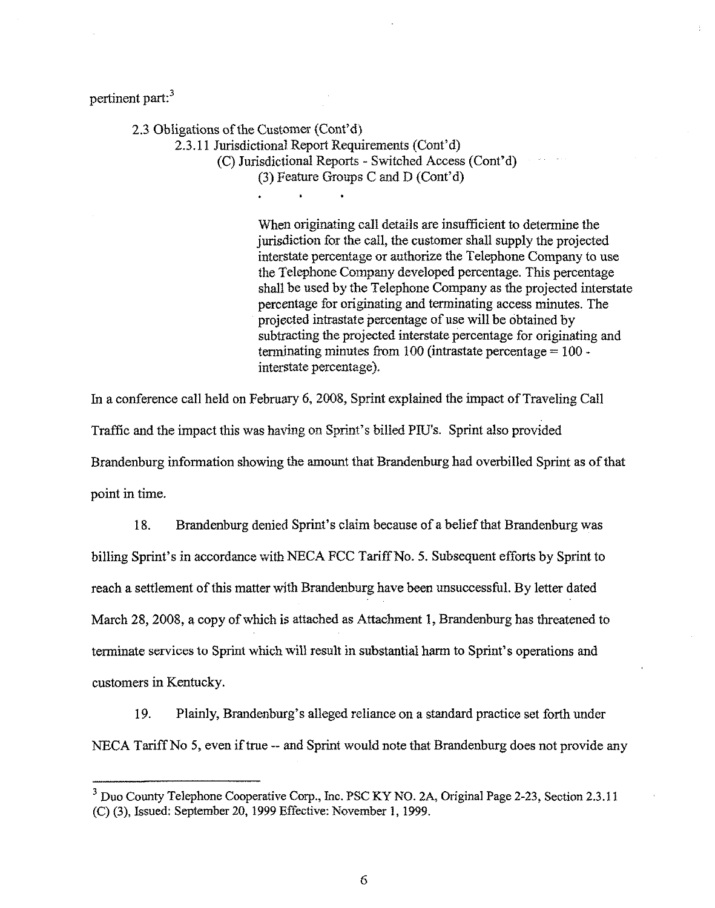pertinent part:<sup>3</sup>

2.3 Obligations of the Customer (Cont'd) 2.3.11 Jurisdictional Report Requirements (Cont'd) {C)Jurisdictional Reports —Switched Access (Cont'd) {3)Feature Groups C and D (Cont'd)

> When originating call details are insufficient to determine the jurisdiction for the call, the customer shall supply the projected interstate percentage or authorize the Telephone Company to use the Telephone Company developed percentage. This percentage shall be used by the Telephone Company as the projected interstate percentage for originating and terminating access minutes, The projected intrastate percentage of use will be obtained by subtracting the projected interstate percentage for originating and terminating minutes from 100 (intrastate percentage  $= 100$ interstate percentage).

In a conference call held on Pebruary 6, 2008, Sprint explained the impact of Traveling Call Traffic and the impact this was having on Sprint's billed PIU's. Sprint also provided Brandenburg information showing the amount that Brandenburg had overbilled Sprint as ofthat point in time.

18. Brandenburg denied Sprint's claim because of a belief that Brandenburg was billing Sprint's in accordance with NECA FCC Tariff No. 5. Subsequent efforts by Sprint to reach a settlement of this matter with Brandenburg have been unsuccessful. By letter dated March 28, 2008, a copy of which is attached as Attachment 1, Brandenburg has threatened to termmate services to Sprint which will result in substantial harm to Sprint's operations and customers in Kentucky.

19. Plainly, Brandenburg's alleged reliance on a standard practice set forth under NECA Tariff No 5, even if true -- and Sprint would note that Brandenburg does not provide any

6

<sup>&</sup>lt;sup>3</sup> Duo County Telephone Cooperative Corp., Inc. PSC KY NO. 2A, Original Page 2-23, Section 2.3.11 (C) (3), Issued: September 20, 1999Effective: November 1, 1999.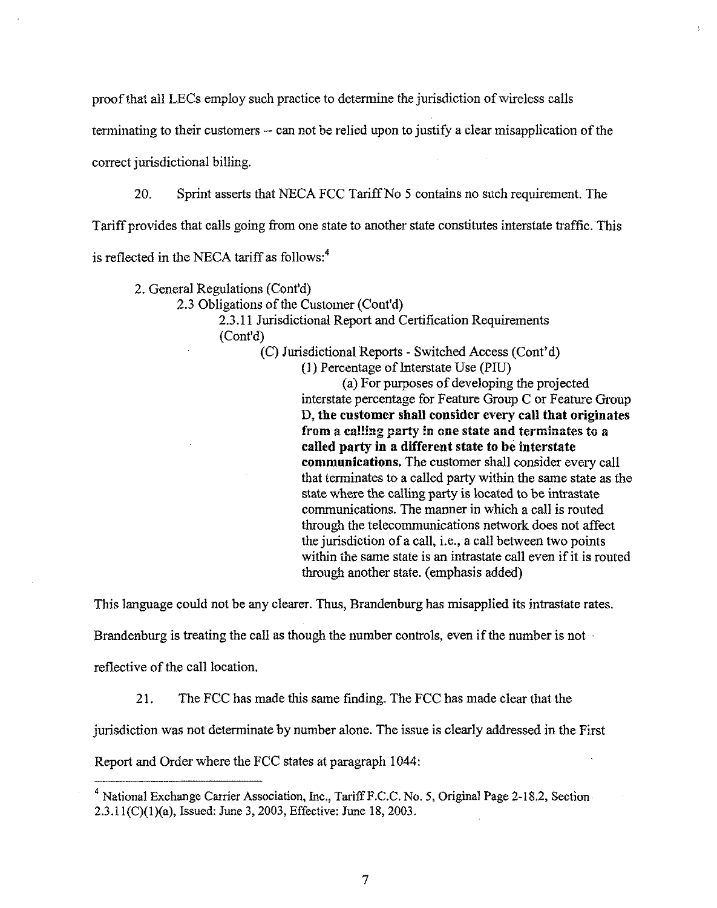proof that all LECs employ such practice to determine the jurisdiction of wireless calls

terminating to their customers -- can not be relied upon to justify a clear misapplication of the

correct jurisdictional billing.

20. Sprint asserts that NECA FCC Tariff No 5 contains no such requirement. The

Tariff provides that calls going from one state to another state constitutes interstate traffic. This

is reflected in the NECA tariff as follows:<sup>4</sup>

2. General Regulations (Cont'd) 2.3 Obligations of the Customer (Cont'd) 2.3.11Jurisdictional Report and Certification Requirements (Cont'd)

(C) Jurisdictional Reports - Switched Access (Cont'd)

(1) Percentage of Interstate Use (PIU)

(a) For purposes of developing the projected interstate percentage for Feature Group C or Feature Group D, the customer shall consider every ca11 that originates from a calling party in one state and terminates to a called party in a different state to be interstate communications. The customer shall consider every call that terminates to a called party within the same state as the state where the calling party is located to be intrastate communications. The manner in which a call is routed through the telecommunications network does not affect the jurisdiction of a call, i.e., a call between two points within the same state is an intrastate call even if it is routed through another state. (emphasis added)

This language could not be any clearer. Thus, Brandenburg has misapplied its intrastate rates.

Brandenburg is treating the call as though the number controls, even if the number is not

reflective of the call location.

21. The FCC has made this same finding. The FCC has made clear that the

jurisdiction was not determinate by number alone. The issue is clearly addressed in the First

Report and Order where the FCC states at paragraph 1044:

<sup>&</sup>lt;sup>4</sup> National Exchange Carrier Association, Inc., Tariff F.C.C. No. 5, Original Page 2-18.2, Section 2.3.11(C)(1)(a), Issued: June 3, 2003, Effective: June 18, 2003.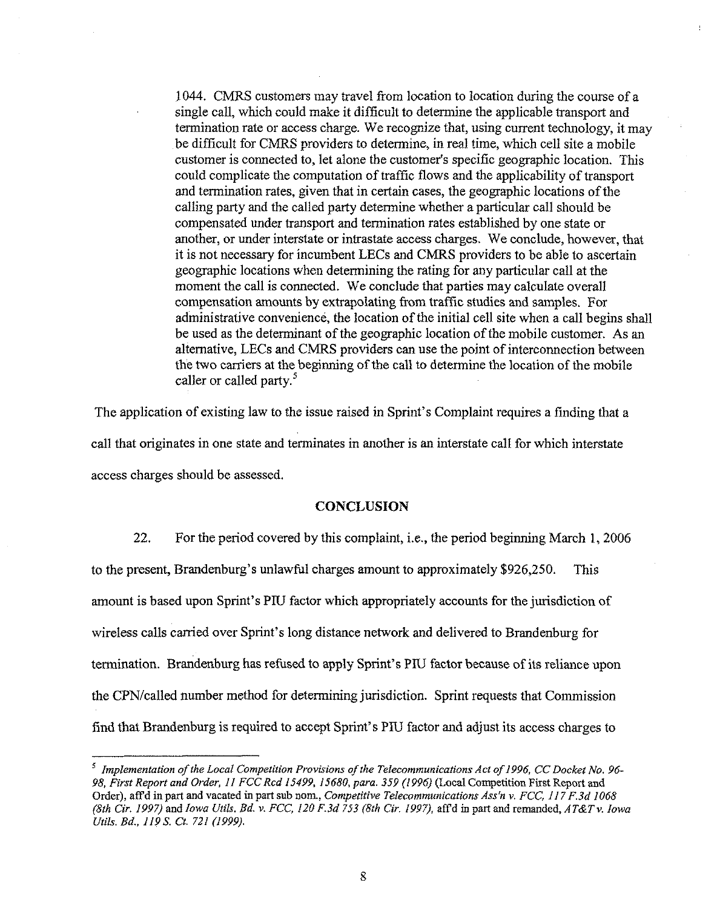1044. CMRS customers may travel from location to location during the course of a single call, which could make it difficult to determine the applicable transport and termination rate or access charge. We recognize that, using current technology, it may be difficult for CMRS providers to determine, in real time, which cell site a mobile customer is connected to, let alone the customer's specific geographic location. This could complicate the computation of traffic flows and the applicability of transport and termination rates, given that in certain cases, the geographic locations of the calling party and the called party determine whether a particular call should be compensated under transport and termination rates established by one state or another, or under interstate or intrastate access charges. We conclude, however, that it is not necessary for incumbent LECs and CMRS providers to be able to ascertain geographic locations when determining the rating for any particular call at the moment the call is connected. We conclude that parties may calculate overall compensation amounts by extrapolating from traffic studies and samples. For administrative convenience, the location of the initial cell site when a call begins shall be used as the determinant of the geographic location of the mobile customer. As an alternative, LECs and CMRS providers can use the point of interconnection between the two carriers at the beginning of the call to determine the location of the mobile caller or called party.<sup>5</sup>

The application of existing law to the issue raised in Sprint's Complaint requires a finding that a call that originates in one state and terminates in another is an interstate call for which interstate access charges should be assessed.

#### **CONCLUSION**

22, For the period covered by this complaint, i.e., the period beginning March 1, 2006 to the present, Brandenburg's unlawful charges amount to approximately \$926,250. This amount is based upon Sprint's PIU factor which appropriately accounts for the jurisdiction of wireless calls carried over Sprint's long distance network and delivered to Brandenburg for termination. Brandenburg has refused to apply Sprint's PIU factor because of its reliance upon the CPN/called number method for determining jurisdiction. Sprint requests that Commission find that Brandenburg is required to accept Sprint's PIU factor and adjust its access charges to

 $<sup>5</sup>$  Implementation of the Local Competition Provisions of the Telecommunications Act of 1996, CC Docket No. 96-</sup> 98, First Report and Order, 11 FCC Rcd 15499, 15680, para. 359 (1996) (Local Competition First Report and Order), aff'd in part and vacated in part sub nom., Competitive Telecommunications Ass'n v. FCC, 117 F.3d 1068 (8th Cir. 1997) and Iowa Utils. Bd. v. FCC, 120 F.3d 753 (8th Cir. 1997), affd in part and remanded,  $AT&Tv.$  Iowa Vtils. Bd., 1198. Ct. 721 (1999).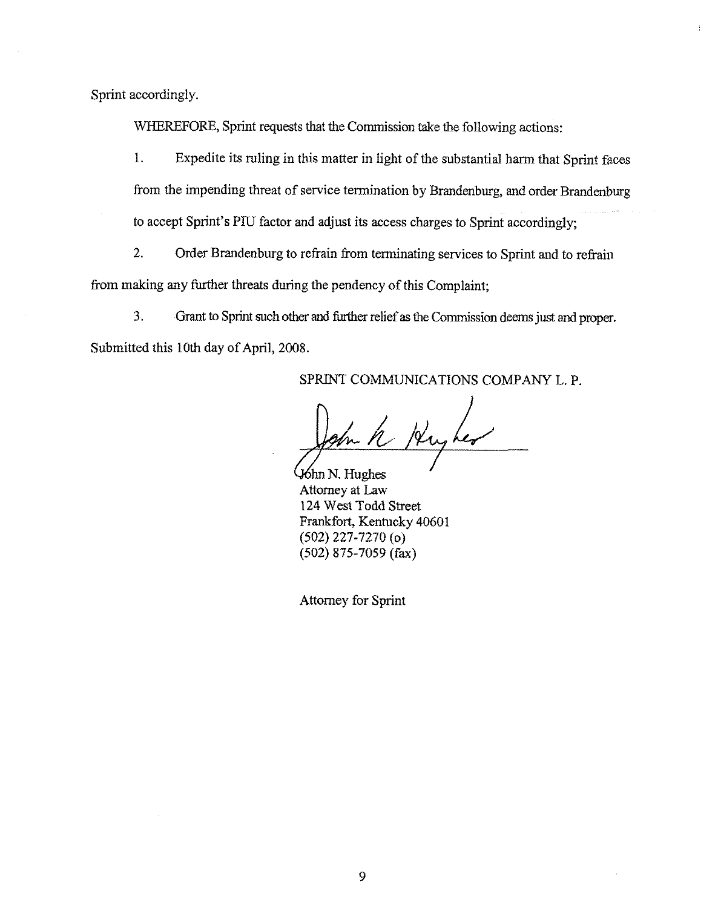Sprint accordingly.

WHEREFORE, Sprint requests that the Commission take the following actions:

l. Expedite its ruling in this matter in light of the substantial harm that Sprint faces from the impending threat of service termination by Brandenburg, and order Brandenburg to accept Sprint's PIU factor and adjust its access charges to Sprint accordingly;

2. Order Brandenburg to refrain from terminating services to Sprint and to refrain from making any further threats during the pendency of this Complaint;

3. Grant to Sprint such other and furlher relief as the Commission deems just and ptoper. Submitted this 10th day of April, 2008.

SPRINT COMMUNICATIONS COMPANY L. P.

us her

 $\mathcal{H}$ hn N. Hughes Attorney at Law 124 West Todd Street Frankfort, Kentucky 40601 (502) 227-7270 (o) (502) 875-7059 (fax)

Attorney for Sprint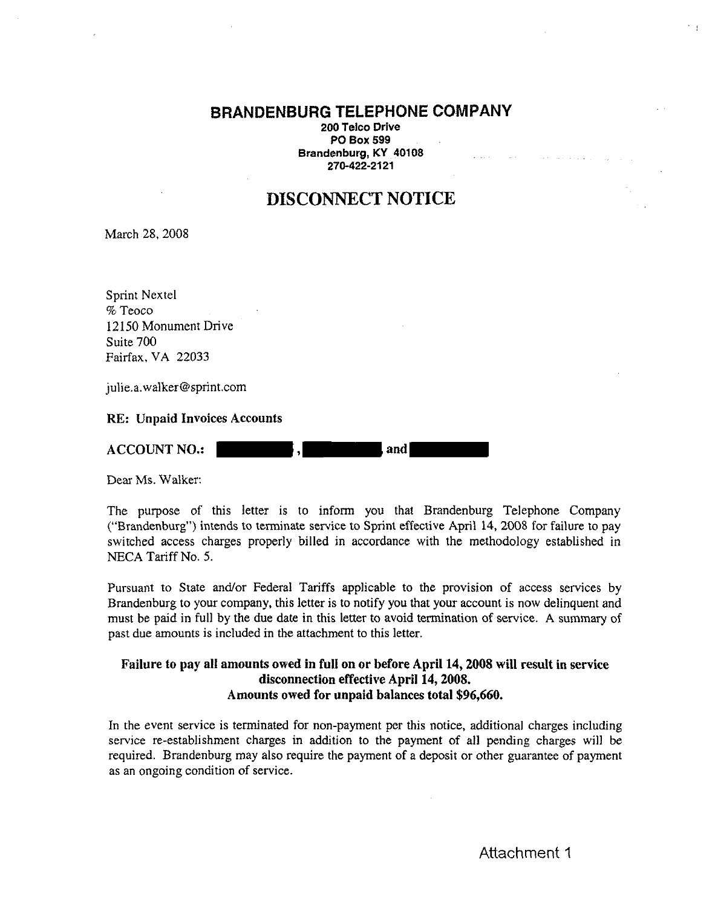#### BRANDENBURG TELEPHONE COMPANY

200 Telco Drive PO Box 599 Brandenburg, KY 40108 270-422-2121

# DISCONNECT NOTICE

March 28, 2008

Sprint Nextel % Teoco 12150 Monument Drive Suite 700 Fairfax, VA 22033

julie.a.walker@sprint.com

RE: Unpaid Invoices Accounts

ACCOUNT NO.:  $\blacksquare$ , and

Dear Ms. Walker:

The purpose of this letter is to inform you that Brandenburg Telephone Company ("Brandenburg") intends to terminate service to Sprint effective April 14, 2008 for failure to pay switched access charges properly billed in accordance with the methodology established in NECA Tariff No. 5.

Pursuant to State and/or Federal Tariffs applicable to the provision of access services by Brandenburg to your company, this letter is to notify you that your account is now delinquent and must be paid in full by the due date in this letter to avoid termination of service, A summary of past due amounts is included in the attachment to this letter.

#### Failure to pay all amounts owed in full on or before April 14, 2008 will result in service disconnection effective April 14, 2008. Amounts owed for unpaid balances total \$96,660.

In the event service is terminated for non-payment per this notice, additional charges including service re-establishment charges in addition to the payment of all pending charges will be required, Brandenburg may also require the payment of a deposit or other guarantee of payment as an ongoing condition of service.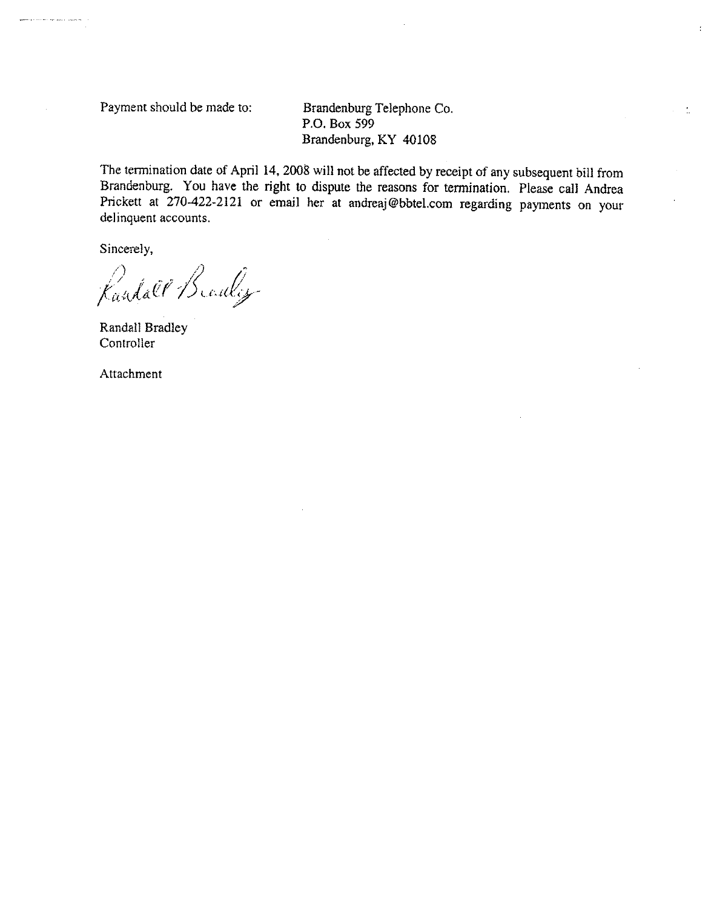Payment should be made to: Brandenburg Telephone Co.

P.O. Box 599 Brandenburg, KY 40108  $\tau=2$ 

The termination date of April 14, 2008 will not be affected by receipt of any subsequent bill from Brandenburg. You have the right to dispute the reasons for termination. Please call Andrea Prickett at 270-422-2121 or email her at andreaj@bbtel.com regarding payments on your delinquent accounts.

Sincerely,

approved a contract success of the con-

Randall Branley

Randall Bradley Controller

Attachment